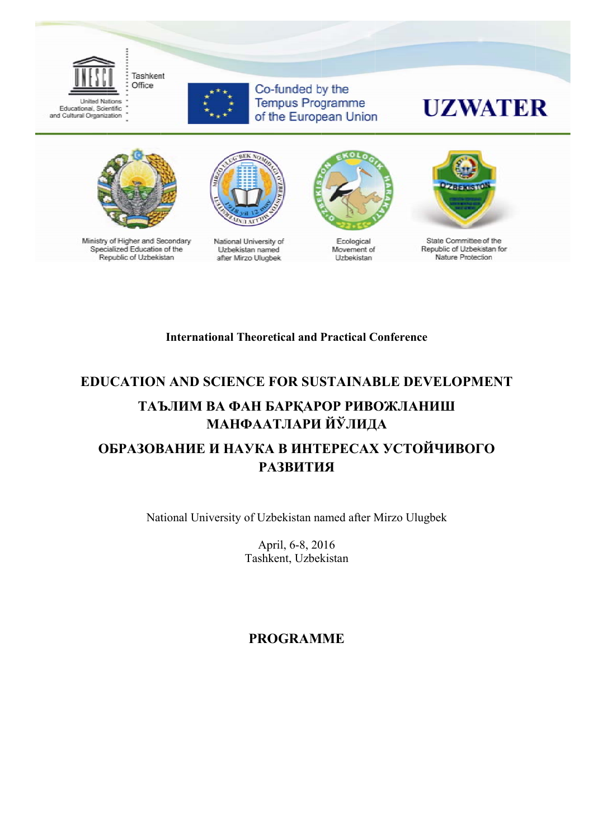



Co-funded by the **Tempus Programme** of the European Union

# **UZWATER**



Ministry of Higher and Secondary Specialized Education of the Republic of Uzbekistan



National University of **Uzbekistan** named after Mirzo Ulugbek



Ecological Movement of Uzbekistan



State Committee of the Republic of Uzbekistan for Nature Protection

#### **International Theoretical and Practical Conference**

### **EDUCATION AND SCIENCE FOR SUSTAINABLE DEVELOPMENT** ТАЪЛИМ ВА ФАН БАРКАРОР РИВОЖЛАНИШ МАНФААТЛАРИ ЙЎЛИДА ОБРАЗОВАНИЕ И НАУКА В ИНТЕРЕСАХ УСТОЙЧИВОГО **РАЗВИТИЯ**

National University of Uzbekistan named after Mirzo Ulugbek

April, 6-8, 2016 Tashkent, Uzbekistan

**PROGRAMME**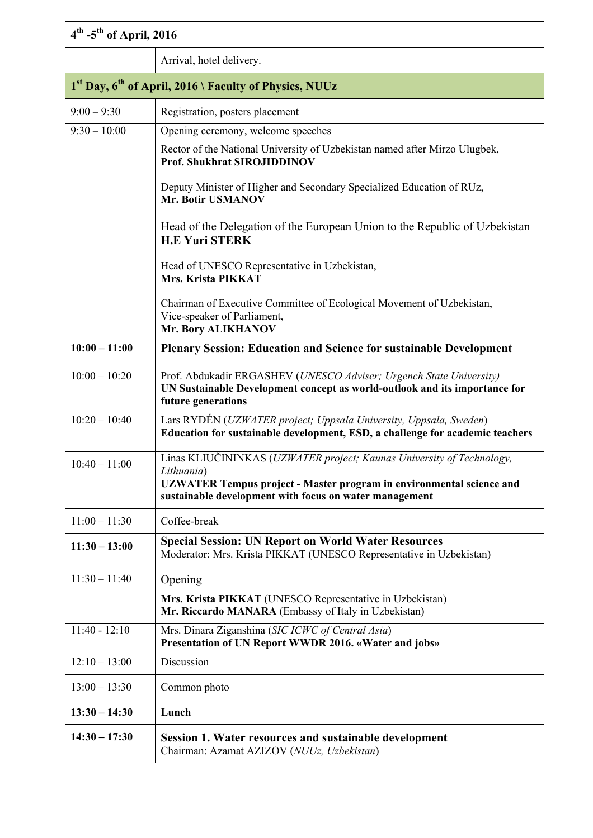## **4th -5th of April, 2016**

|                                                                                | Arrival, hotel delivery.                                                                                                                                                                                                     |  |
|--------------------------------------------------------------------------------|------------------------------------------------------------------------------------------------------------------------------------------------------------------------------------------------------------------------------|--|
| 1 <sup>st</sup> Day, 6 <sup>th</sup> of April, 2016 \ Faculty of Physics, NUUz |                                                                                                                                                                                                                              |  |
| $9:00 - 9:30$                                                                  | Registration, posters placement                                                                                                                                                                                              |  |
| $9:30 - 10:00$                                                                 | Opening ceremony, welcome speeches                                                                                                                                                                                           |  |
|                                                                                | Rector of the National University of Uzbekistan named after Mirzo Ulugbek,<br><b>Prof. Shukhrat SIROJIDDINOV</b>                                                                                                             |  |
|                                                                                | Deputy Minister of Higher and Secondary Specialized Education of RUz,<br>Mr. Botir USMANOV                                                                                                                                   |  |
|                                                                                | Head of the Delegation of the European Union to the Republic of Uzbekistan<br><b>H.E Yuri STERK</b>                                                                                                                          |  |
|                                                                                | Head of UNESCO Representative in Uzbekistan,<br>Mrs. Krista PIKKAT                                                                                                                                                           |  |
|                                                                                | Chairman of Executive Committee of Ecological Movement of Uzbekistan,<br>Vice-speaker of Parliament,<br>Mr. Bory ALIKHANOV                                                                                                   |  |
| $10:00 - 11:00$                                                                | <b>Plenary Session: Education and Science for sustainable Development</b>                                                                                                                                                    |  |
| $10:00 - 10:20$                                                                | Prof. Abdukadir ERGASHEV (UNESCO Adviser; Urgench State University)<br>UN Sustainable Development concept as world-outlook and its importance for<br>future generations                                                      |  |
| $10:20 - 10:40$                                                                | Lars RYDÉN (UZWATER project; Uppsala University, Uppsala, Sweden)<br>Education for sustainable development, ESD, a challenge for academic teachers                                                                           |  |
| $10:40 - 11:00$                                                                | Linas KLIUČININKAS (UZWATER project; Kaunas University of Technology,<br>Lithuania)<br><b>UZWATER Tempus project - Master program in environmental science and</b><br>sustainable development with focus on water management |  |
| $11:00 - 11:30$                                                                | Coffee-break                                                                                                                                                                                                                 |  |
| $11:30 - 13:00$                                                                | <b>Special Session: UN Report on World Water Resources</b><br>Moderator: Mrs. Krista PIKKAT (UNESCO Representative in Uzbekistan)                                                                                            |  |
| $11:30 - 11:40$                                                                | Opening                                                                                                                                                                                                                      |  |
|                                                                                | Mrs. Krista PIKKAT (UNESCO Representative in Uzbekistan)<br>Mr. Riccardo MANARA (Embassy of Italy in Uzbekistan)                                                                                                             |  |
| $11:40 - 12:10$                                                                | Mrs. Dinara Ziganshina (SIC ICWC of Central Asia)<br>Presentation of UN Report WWDR 2016. «Water and jobs»                                                                                                                   |  |
| $12:10 - 13:00$                                                                | Discussion                                                                                                                                                                                                                   |  |
| $13:00 - 13:30$                                                                | Common photo                                                                                                                                                                                                                 |  |
| $13:30 - 14:30$                                                                | Lunch                                                                                                                                                                                                                        |  |
| $14:30 - 17:30$                                                                | Session 1. Water resources and sustainable development<br>Chairman: Azamat AZIZOV (NUUz, Uzbekistan)                                                                                                                         |  |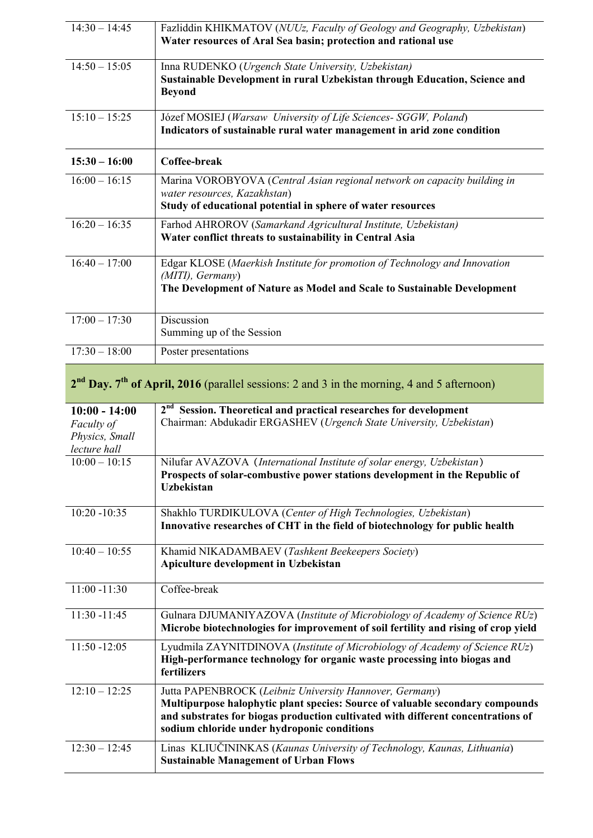| $14:30 - 14:45$                              | Fazliddin KHIKMATOV (NUUz, Faculty of Geology and Geography, Uzbekistan)<br>Water resources of Aral Sea basin; protection and rational use                                                                                                                                  |
|----------------------------------------------|-----------------------------------------------------------------------------------------------------------------------------------------------------------------------------------------------------------------------------------------------------------------------------|
| $14:50 - 15:05$                              | Inna RUDENKO (Urgench State University, Uzbekistan)<br>Sustainable Development in rural Uzbekistan through Education, Science and<br><b>Beyond</b>                                                                                                                          |
| $15:10 - 15:25$                              | Józef MOSIEJ (Warsaw University of Life Sciences- SGGW, Poland)<br>Indicators of sustainable rural water management in arid zone condition                                                                                                                                  |
| $15:30 - 16:00$                              | Coffee-break                                                                                                                                                                                                                                                                |
| $16:00 - 16:15$                              | Marina VOROBYOVA (Central Asian regional network on capacity building in<br>water resources, Kazakhstan)<br>Study of educational potential in sphere of water resources                                                                                                     |
| $16:20 - 16:35$                              | Farhod AHROROV (Samarkand Agricultural Institute, Uzbekistan)<br>Water conflict threats to sustainability in Central Asia                                                                                                                                                   |
| $16:40 - 17:00$                              | Edgar KLOSE (Maerkish Institute for promotion of Technology and Innovation<br>(MITI), Germany)<br>The Development of Nature as Model and Scale to Sustainable Development                                                                                                   |
| $17:00 - 17:30$                              | Discussion<br>Summing up of the Session                                                                                                                                                                                                                                     |
| $17:30 - 18:00$                              | Poster presentations                                                                                                                                                                                                                                                        |
|                                              | 2 <sup>nd</sup> Day. 7 <sup>th</sup> of April, 2016 (parallel sessions: 2 and 3 in the morning, 4 and 5 afternoon)                                                                                                                                                          |
| $10:00 - 14:00$                              |                                                                                                                                                                                                                                                                             |
| Faculty of<br>Physics, Small<br>lecture hall | $2nd$ Session. Theoretical and practical researches for development<br>Chairman: Abdukadir ERGASHEV (Urgench State University, Uzbekistan)                                                                                                                                  |
| $10:00 - 10:15$                              | Nilufar AVAZOVA (International Institute of solar energy, Uzbekistan)<br>Prospects of solar-combustive power stations development in the Republic of<br><b>Uzbekistan</b>                                                                                                   |
| $10:20 - 10:35$                              | Shakhlo TURDIKULOVA (Center of High Technologies, Uzbekistan)<br>Innovative researches of CHT in the field of biotechnology for public health                                                                                                                               |
| $10:40 - 10:55$                              | Khamid NIKADAMBAEV (Tashkent Beekeepers Society)<br>Apiculture development in Uzbekistan                                                                                                                                                                                    |
| $11:00 - 11:30$                              | Coffee-break                                                                                                                                                                                                                                                                |
| $11:30 - 11:45$                              | Gulnara DJUMANIYAZOVA (Institute of Microbiology of Academy of Science RUz)<br>Microbe biotechnologies for improvement of soil fertility and rising of crop yield                                                                                                           |
| $11:50 - 12:05$                              | Lyudmila ZAYNITDINOVA (Institute of Microbiology of Academy of Science RUz)<br>High-performance technology for organic waste processing into biogas and<br>fertilizers                                                                                                      |
| $12:10 - 12:25$                              | Jutta PAPENBROCK (Leibniz University Hannover, Germany)<br>Multipurpose halophytic plant species: Source of valuable secondary compounds<br>and substrates for biogas production cultivated with different concentrations of<br>sodium chloride under hydroponic conditions |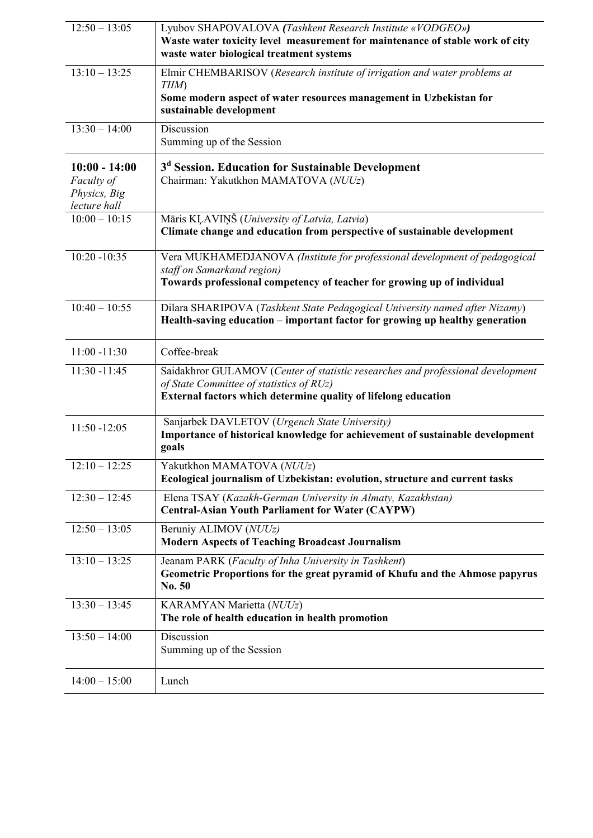| $12:50 - 13:05$                                               | Lyubov SHAPOVALOVA (Tashkent Research Institute «VODGEO»)<br>Waste water toxicity level measurement for maintenance of stable work of city<br>waste water biological treatment systems        |
|---------------------------------------------------------------|-----------------------------------------------------------------------------------------------------------------------------------------------------------------------------------------------|
| $13:10 - 13:25$                                               | Elmir CHEMBARISOV (Research institute of irrigation and water problems at<br>TIIM)<br>Some modern aspect of water resources management in Uzbekistan for<br>sustainable development           |
| $13:30 - 14:00$                                               | <b>Discussion</b><br>Summing up of the Session                                                                                                                                                |
| $10:00 - 14:00$<br>Faculty of<br>Physics, Big<br>lecture hall | 3 <sup>d</sup> Session. Education for Sustainable Development<br>Chairman: Yakutkhon MAMATOVA (NUUz)                                                                                          |
| $10:00 - 10:15$                                               | Māris KĻAVIŅŠ (University of Latvia, Latvia)<br>Climate change and education from perspective of sustainable development                                                                      |
| $10:20 - 10:35$                                               | Vera MUKHAMEDJANOVA (Institute for professional development of pedagogical<br>staff on Samarkand region)<br>Towards professional competency of teacher for growing up of individual           |
| $10:40 - 10:55$                                               | Dilara SHARIPOVA (Tashkent State Pedagogical University named after Nizamy)<br>Health-saving education – important factor for growing up healthy generation                                   |
| $11:00 - 11:30$                                               | Coffee-break                                                                                                                                                                                  |
| $11:30 - 11:45$                                               | Saidakhror GULAMOV (Center of statistic researches and professional development<br>of State Committee of statistics of RUz)<br>External factors which determine quality of lifelong education |
| $11:50 - 12:05$                                               | Sanjarbek DAVLETOV (Urgench State University)<br>Importance of historical knowledge for achievement of sustainable development<br>goals                                                       |
| $12:10 - 12:25$                                               | Yakutkhon MAMATOVA (NUUz)<br>Ecological journalism of Uzbekistan: evolution, structure and current tasks                                                                                      |
| $12:30 - 12:45$                                               | Elena TSAY (Kazakh-German University in Almaty, Kazakhstan)<br><b>Central-Asian Youth Parliament for Water (CAYPW)</b>                                                                        |
| $12:50 - 13:05$                                               | Beruniy ALIMOV (NUUz)<br><b>Modern Aspects of Teaching Broadcast Journalism</b>                                                                                                               |
| $13:10 - 13:25$                                               | Jeanam PARK (Faculty of Inha University in Tashkent)<br>Geometric Proportions for the great pyramid of Khufu and the Ahmose papyrus<br>No. 50                                                 |
| $13:30 - 13:45$                                               | KARAMYAN Marietta (NUUz)<br>The role of health education in health promotion                                                                                                                  |
| $13:50 - 14:00$                                               | Discussion<br>Summing up of the Session                                                                                                                                                       |
| $14:00 - 15:00$                                               | Lunch                                                                                                                                                                                         |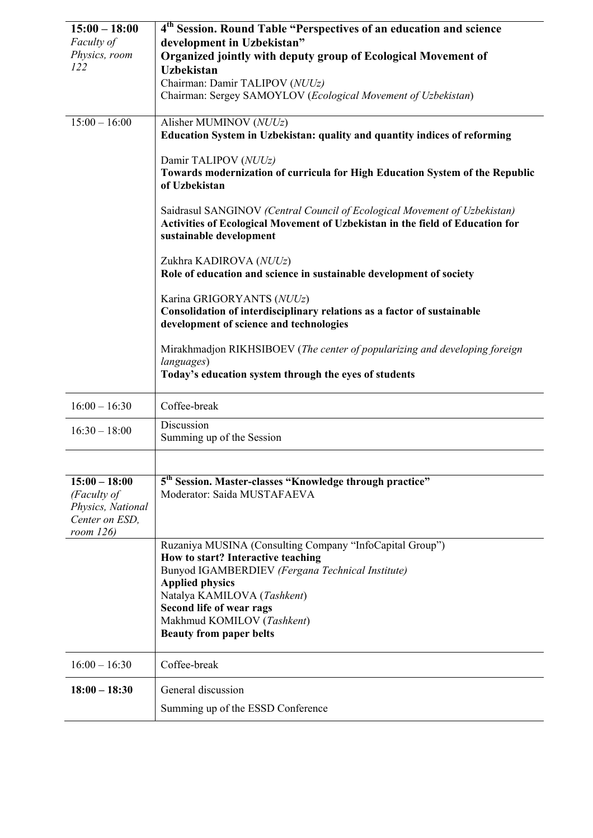| $15:00 - 18:00$              | 4 <sup>th</sup> Session. Round Table "Perspectives of an education and science                |
|------------------------------|-----------------------------------------------------------------------------------------------|
| Faculty of                   | development in Uzbekistan"                                                                    |
| Physics, room                | Organized jointly with deputy group of Ecological Movement of                                 |
| 122                          | <b>Uzbekistan</b>                                                                             |
|                              | Chairman: Damir TALIPOV (NUUz)                                                                |
|                              | Chairman: Sergey SAMOYLOV (Ecological Movement of Uzbekistan)                                 |
|                              |                                                                                               |
| $15:00 - 16:00$              | Alisher MUMINOV (NUUz)                                                                        |
|                              | Education System in Uzbekistan: quality and quantity indices of reforming                     |
|                              |                                                                                               |
|                              | Damir TALIPOV (NUUz)                                                                          |
|                              | Towards modernization of curricula for High Education System of the Republic<br>of Uzbekistan |
|                              |                                                                                               |
|                              | Saidrasul SANGINOV (Central Council of Ecological Movement of Uzbekistan)                     |
|                              | Activities of Ecological Movement of Uzbekistan in the field of Education for                 |
|                              | sustainable development                                                                       |
|                              |                                                                                               |
|                              | Zukhra KADIROVA (NUUz)                                                                        |
|                              | Role of education and science in sustainable development of society                           |
|                              | Karina GRIGORYANTS (NUUz)                                                                     |
|                              | Consolidation of interdisciplinary relations as a factor of sustainable                       |
|                              | development of science and technologies                                                       |
|                              |                                                                                               |
|                              | Mirakhmadjon RIKHSIBOEV (The center of popularizing and developing foreign                    |
|                              | languages)                                                                                    |
|                              | Today's education system through the eyes of students                                         |
|                              |                                                                                               |
| $16:00 - 16:30$              | Coffee-break                                                                                  |
| $16:30 - 18:00$              | Discussion                                                                                    |
|                              | Summing up of the Session                                                                     |
|                              |                                                                                               |
|                              |                                                                                               |
| $15:00 - 18:00$              | 5 <sup>th</sup> Session. Master-classes "Knowledge through practice"                          |
| (Faculty of                  | Moderator: Saida MUSTAFAEVA                                                                   |
| Physics, National            |                                                                                               |
| Center on ESD,<br>room $126$ |                                                                                               |
|                              | Ruzaniya MUSINA (Consulting Company "InfoCapital Group")                                      |
|                              | How to start? Interactive teaching                                                            |
|                              | Bunyod IGAMBERDIEV (Fergana Technical Institute)                                              |
|                              | <b>Applied physics</b>                                                                        |
|                              | Natalya KAMILOVA (Tashkent)                                                                   |
|                              | Second life of wear rags                                                                      |
|                              | Makhmud KOMILOV (Tashkent)                                                                    |
|                              | <b>Beauty from paper belts</b>                                                                |
|                              |                                                                                               |
| $16:00 - 16:30$              | Coffee-break                                                                                  |
| $18:00 - 18:30$              | General discussion                                                                            |
|                              | Summing up of the ESSD Conference                                                             |
|                              |                                                                                               |